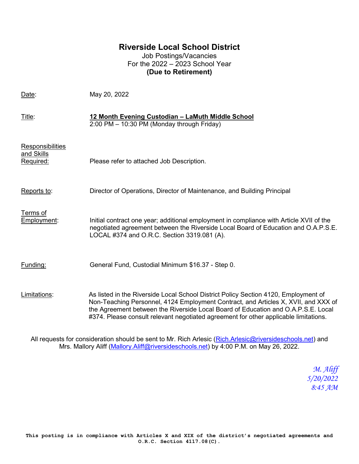## **Riverside Local School District**

Job Postings/Vacancies For the 2022 – 2023 School Year **(Due to Retirement)**

| Date:                                              | May 20, 2022                                                                                                                                                                                                                                                                                                                                           |
|----------------------------------------------------|--------------------------------------------------------------------------------------------------------------------------------------------------------------------------------------------------------------------------------------------------------------------------------------------------------------------------------------------------------|
| Title:                                             | 12 Month Evening Custodian - LaMuth Middle School<br>2:00 PM - 10:30 PM (Monday through Friday)                                                                                                                                                                                                                                                        |
| Responsibilities<br><u>and Skills</u><br>Required: | Please refer to attached Job Description.                                                                                                                                                                                                                                                                                                              |
| Reports to:                                        | Director of Operations, Director of Maintenance, and Building Principal                                                                                                                                                                                                                                                                                |
| Terms of<br>Employment:                            | Initial contract one year; additional employment in compliance with Article XVII of the<br>negotiated agreement between the Riverside Local Board of Education and O.A.P.S.E.<br>LOCAL #374 and O.R.C. Section 3319.081 (A).                                                                                                                           |
| Funding:                                           | General Fund, Custodial Minimum \$16.37 - Step 0.                                                                                                                                                                                                                                                                                                      |
| Limitations:                                       | As listed in the Riverside Local School District Policy Section 4120, Employment of<br>Non-Teaching Personnel, 4124 Employment Contract, and Articles X, XVII, and XXX of<br>the Agreement between the Riverside Local Board of Education and O.A.P.S.E. Local<br>#374. Please consult relevant negotiated agreement for other applicable limitations. |

All requests for consideration should be sent to Mr. Rich Arlesic [\(Rich.Arlesic@riversideschools.net\)](mailto:Rich.Arlesic@riversideschools.net) and Mrs. Mallory Aliff [\(Mallory.Aliff@riversideschools.net\)](mailto:Mallory.Aliff@riversideschools.net) by 4:00 P.M. on May 26, 2022.

> *M. Aliff 5/20/2022 8:45 AM*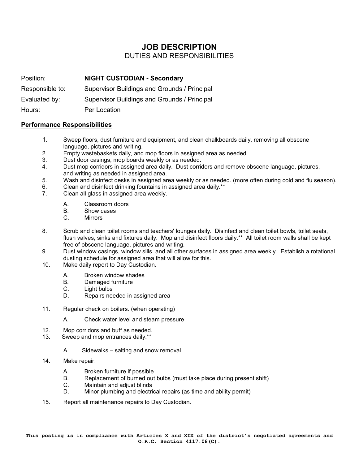# **JOB DESCRIPTION**

### DUTIES AND RESPONSIBILITIES

Position: **NIGHT CUSTODIAN - Secondary** Responsible to: Supervisor Buildings and Grounds / Principal Evaluated by: Supervisor Buildings and Grounds / Principal Hours: Per Location

#### **Performance Responsibilities**

- 1. Sweep floors, dust furniture and equipment, and clean chalkboards daily, removing all obscene language, pictures and writing.
- 2. Empty wastebaskets daily, and mop floors in assigned area as needed.
- 3. Dust door casings, mop boards weekly or as needed.
- 4. Dust mop corridors in assigned area daily. Dust corridors and remove obscene language, pictures, and writing as needed in assigned area.
- 5. Wash and disinfect desks in assigned area weekly or as needed. (more often during cold and flu season).
- 6. Clean and disinfect drinking fountains in assigned area daily.\*\*<br>7 Clean all glass in assigned area weekly
- Clean all glass in assigned area weekly.
	- A. Classroom doors
	- B. Show cases
	- C. Mirrors
- 8. Scrub and clean toilet rooms and teachers' lounges daily. Disinfect and clean toilet bowls, toilet seats, flush valves, sinks and fixtures daily. Mop and disinfect floors daily.\*\* All toilet room walls shall be kept free of obscene language, pictures and writing.
- 9. Dust window casings, window sills, and all other surfaces in assigned area weekly. Establish a rotational dusting schedule for assigned area that will allow for this.
- 10. Make daily report to Day Custodian.
	- A. Broken window shades
	- B. Damaged furniture
	- C. Light bulbs
	- D. Repairs needed in assigned area
- 11. Regular check on boilers. (when operating)
	- A. Check water level and steam pressure
- 12. Mop corridors and buff as needed.<br>13. Sweep and mop entrances daily \*\*
- Sweep and mop entrances daily.\*\*
	- A. Sidewalks salting and snow removal.
- 14. Make repair:
	- A. Broken furniture if possible<br>B. Replacement of burned out
	- Replacement of burned out bulbs (must take place during present shift)
	- C. Maintain and adjust blinds
	- D. Minor plumbing and electrical repairs (as time and ability permit)
- 15. Report all maintenance repairs to Day Custodian.